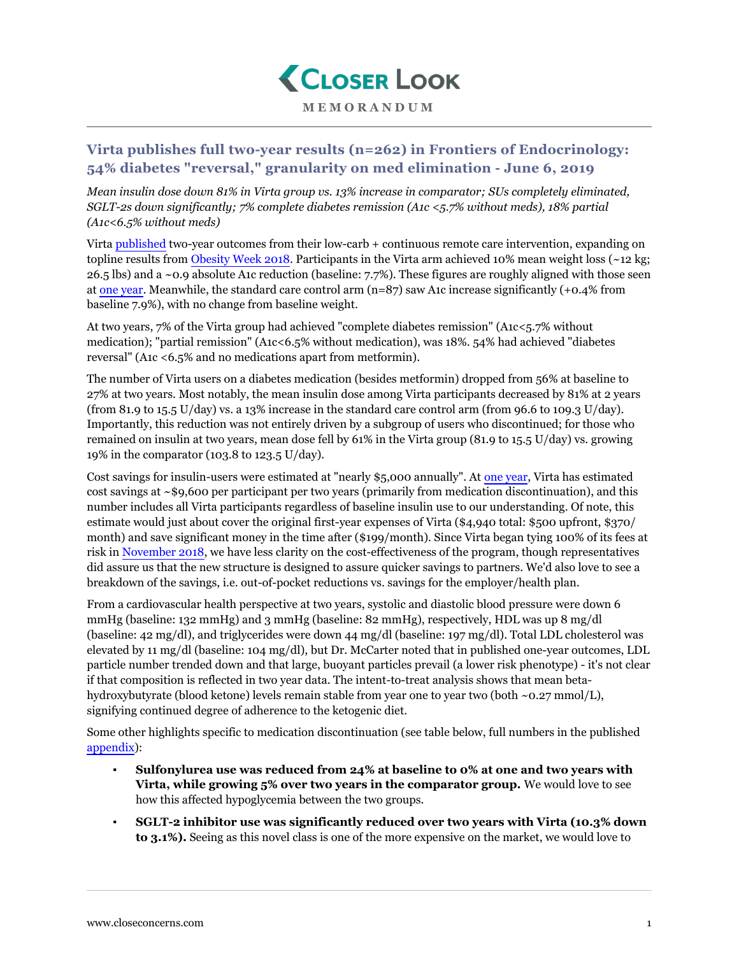

## **Virta publishes full two-year results (n=262) in Frontiers of Endocrinology: 54% diabetes "reversal," granularity on med elimination - June 6, 2019**

*Mean insulin dose down 81% in Virta group vs. 13% increase in comparator; SUs completely eliminated, SGLT-2s down significantly; 7% complete diabetes remission (A1c <5.7% without meds), 18% partial (A1c<6.5% without meds)*

Virta [published](https://www.frontiersin.org/articles/10.3389/fendo.2019.00348/full#SM1) two-year outcomes from their low-carb + continuous remote care intervention, expanding on topline results from [Obesity Week 2018](https://www.closeconcerns.com/knowledgebase/r/8038df9d#Virta_Two_Year_Follow-up_Shows_Sustained_Effect_with_54_Type_2_Reversal_0.9_A1c_Drop_12_kg_Weight_Loss_in_Intent-to-Treat_Two_Years_is_a_Lot_Like_One_Year). Participants in the Virta arm achieved 10% mean weight loss (~12 kg; 26.5 lbs) and a ~0.9 absolute A1c reduction (baseline: 7.7%). These figures are roughly aligned with those seen at [one year.](https://www.closeconcerns.com/knowledgebase/r/543a9fd8) Meanwhile, the standard care control arm (n=87) saw A1c increase significantly (+0.4% from baseline 7.9%), with no change from baseline weight.

At two years, 7% of the Virta group had achieved "complete diabetes remission" (A1c<5.7% without medication); "partial remission" (A1c<6.5% without medication), was 18%. 54% had achieved "diabetes reversal" (A1c <6.5% and no medications apart from metformin).

The number of Virta users on a diabetes medication (besides metformin) dropped from 56% at baseline to 27% at two years. Most notably, the mean insulin dose among Virta participants decreased by 81% at 2 years (from 81.9 to 15.5 U/day) vs. a 13% increase in the standard care control arm (from 96.6 to 109.3 U/day). Importantly, this reduction was not entirely driven by a subgroup of users who discontinued; for those who remained on insulin at two years, mean dose fell by 61% in the Virta group (81.9 to 15.5 U/day) vs. growing 19% in the comparator (103.8 to 123.5 U/day).

Cost savings for insulin-users were estimated at "nearly \$5,000 annually". At [one year](https://www.closeconcerns.com/knowledgebase/r/543a9fd8), Virta has estimated cost savings at ~\$9,600 per participant per two years (primarily from medication discontinuation), and this number includes all Virta participants regardless of baseline insulin use to our understanding. Of note, this estimate would just about cover the original first-year expenses of Virta (\$4,940 total: \$500 upfront, \$370/ month) and save significant money in the time after (\$199/month). Since Virta began tying 100% of its fees at risk in [November 2018](https://www.closeconcerns.com/knowledgebase/r/41a3cdd9), we have less clarity on the cost-effectiveness of the program, though representatives did assure us that the new structure is designed to assure quicker savings to partners. We'd also love to see a breakdown of the savings, i.e. out-of-pocket reductions vs. savings for the employer/health plan.

From a cardiovascular health perspective at two years, systolic and diastolic blood pressure were down 6 mmHg (baseline: 132 mmHg) and 3 mmHg (baseline: 82 mmHg), respectively, HDL was up 8 mg/dl (baseline: 42 mg/dl), and triglycerides were down 44 mg/dl (baseline: 197 mg/dl). Total LDL cholesterol was elevated by 11 mg/dl (baseline: 104 mg/dl), but Dr. McCarter noted that in published one-year outcomes, LDL particle number trended down and that large, buoyant particles prevail (a lower risk phenotype) - it's not clear if that composition is reflected in two year data. The intent-to-treat analysis shows that mean betahydroxybutyrate (blood ketone) levels remain stable from year one to year two (both ~0.27 mmol/L), signifying continued degree of adherence to the ketogenic diet.

Some other highlights specific to medication discontinuation (see table below, full numbers in the published [appendix](https://www.frontiersin.org/articles/10.3389/fendo.2019.00348/full#supplementary-material)):

- **Sulfonylurea use was reduced from 24% at baseline to 0% at one and two years with Virta, while growing 5% over two years in the comparator group.** We would love to see how this affected hypoglycemia between the two groups.
- **SGLT-2 inhibitor use was significantly reduced over two years with Virta (10.3% down to 3.1%).** Seeing as this novel class is one of the more expensive on the market, we would love to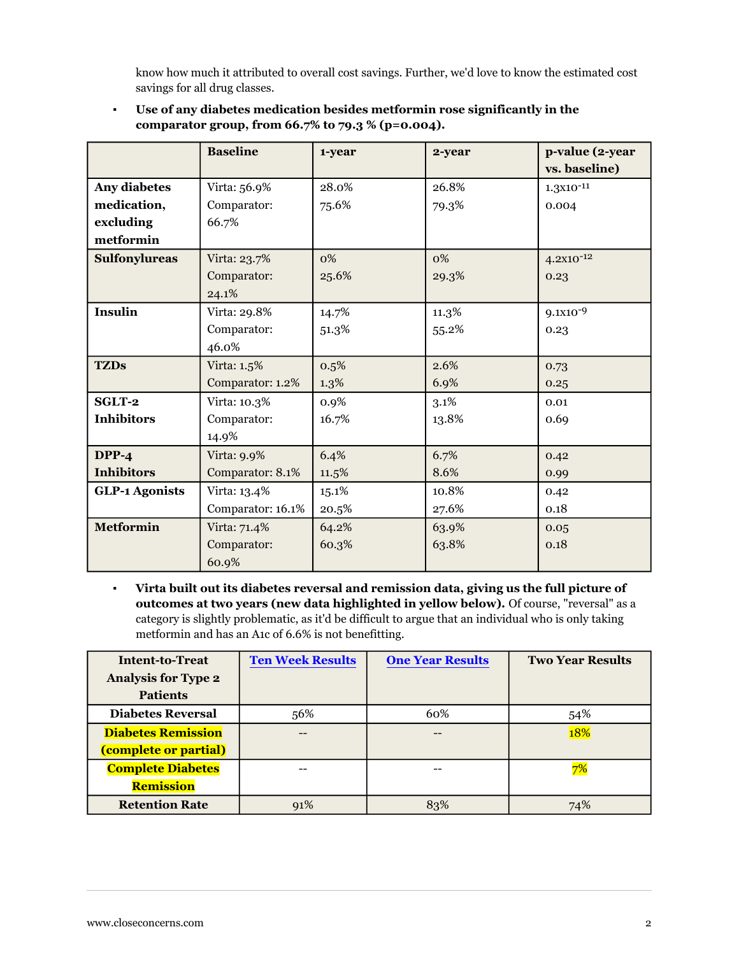know how much it attributed to overall cost savings. Further, we'd love to know the estimated cost savings for all drug classes.

|                       | <b>Baseline</b>   | 1-year | 2-year | p-value (2-year |
|-----------------------|-------------------|--------|--------|-----------------|
|                       |                   |        |        | vs. baseline)   |
| Any diabetes          | Virta: 56.9%      | 28.0%  | 26.8%  | $1.3x10^{-11}$  |
| medication,           | Comparator:       | 75.6%  | 79.3%  | 0.004           |
| excluding             | 66.7%             |        |        |                 |
| metformin             |                   |        |        |                 |
| <b>Sulfonylureas</b>  | Virta: 23.7%      | 0%     | 0%     | $4.2X10^{-12}$  |
|                       | Comparator:       | 25.6%  | 29.3%  | 0.23            |
|                       | 24.1%             |        |        |                 |
| <b>Insulin</b>        | Virta: 29.8%      | 14.7%  | 11.3%  | $9.1X10-9$      |
|                       | Comparator:       | 51.3%  | 55.2%  | 0.23            |
|                       | 46.0%             |        |        |                 |
| <b>TZDs</b>           | Virta: 1.5%       | 0.5%   | 2.6%   | 0.73            |
|                       | Comparator: 1.2%  | 1.3%   | 6.9%   | 0.25            |
| SGLT-2                | Virta: 10.3%      | 0.9%   | 3.1%   | 0.01            |
| <b>Inhibitors</b>     | Comparator:       | 16.7%  | 13.8%  | 0.69            |
|                       | 14.9%             |        |        |                 |
| $DPP-4$               | Virta: 9.9%       | 6.4%   | 6.7%   | 0.42            |
| <b>Inhibitors</b>     | Comparator: 8.1%  | 11.5%  | 8.6%   | 0.99            |
| <b>GLP-1 Agonists</b> | Virta: 13.4%      | 15.1%  | 10.8%  | 0.42            |
|                       | Comparator: 16.1% | 20.5%  | 27.6%  | 0.18            |
| <b>Metformin</b>      | Virta: 71.4%      | 64.2%  | 63.9%  | 0.05            |
|                       | Comparator:       | 60.3%  | 63.8%  | 0.18            |
|                       | 60.9%             |        |        |                 |

▪ **Use of any diabetes medication besides metformin rose significantly in the comparator group, from 66.7% to 79.3 % (p=0.004).**

▪ **Virta built out its diabetes reversal and remission data, giving us the full picture of outcomes at two years (new data highlighted in yellow below).** Of course, "reversal" as a category is slightly problematic, as it'd be difficult to argue that an individual who is only taking metformin and has an A1c of 6.6% is not benefitting.

| <b>Intent-to-Treat</b>     | <b>Ten Week Results</b> | <b>One Year Results</b> | <b>Two Year Results</b> |
|----------------------------|-------------------------|-------------------------|-------------------------|
| <b>Analysis for Type 2</b> |                         |                         |                         |
| <b>Patients</b>            |                         |                         |                         |
| <b>Diabetes Reversal</b>   | 56%                     | 60%                     | 54%                     |
| <b>Diabetes Remission</b>  | --                      | --                      | 18%                     |
| (complete or partial)      |                         |                         |                         |
| <b>Complete Diabetes</b>   |                         |                         |                         |
| <b>Remission</b>           |                         |                         |                         |
| <b>Retention Rate</b>      | 91%                     | 83%                     |                         |